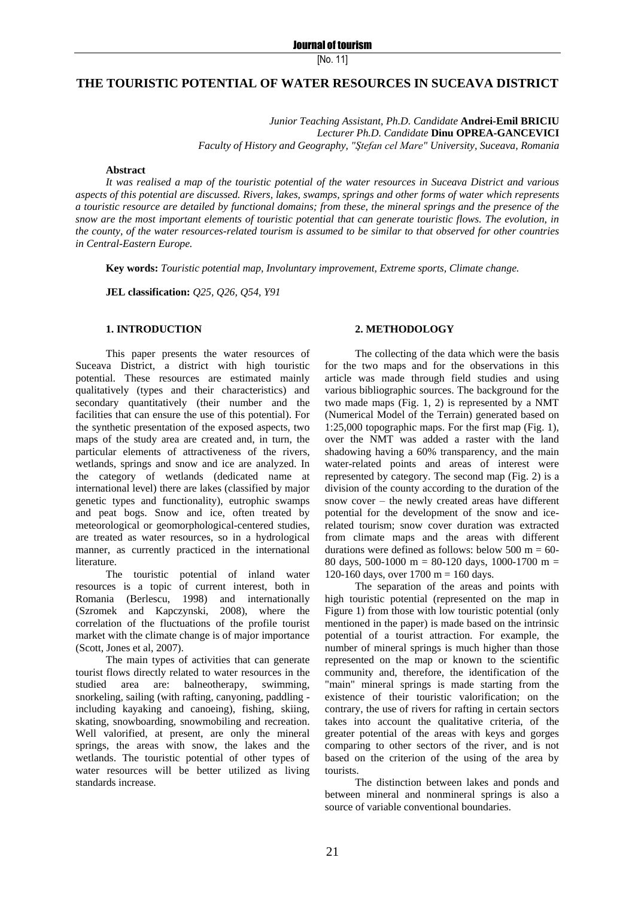## **THE TOURISTIC POTENTIAL OF WATER RESOURCES IN SUCEAVA DISTRICT**

*Junior Teaching Assistant, Ph.D. Candidate* **Andrei-Emil BRICIU** *Lecturer Ph.D. Candidate* **Dinu OPREA-GANCEVICI** *Faculty of History and Geography, "Ştefan cel Mare" University, Suceava, Romania*

#### **Abstract**

*It was realised a map of the touristic potential of the water resources in Suceava District and various aspects of this potential are discussed. Rivers, lakes, swamps, springs and other forms of water which represents a touristic resource are detailed by functional domains; from these, the mineral springs and the presence of the snow are the most important elements of touristic potential that can generate touristic flows. The evolution, in the county, of the water resources-related tourism is assumed to be similar to that observed for other countries in Central-Eastern Europe.*

**Key words:** *Touristic potential map, Involuntary improvement, Extreme sports, Climate change.*

**JEL classification:** *Q25, Q26, Q54, Y91*

#### **1. INTRODUCTION**

This paper presents the water resources of Suceava District, a district with high touristic potential. These resources are estimated mainly qualitatively (types and their characteristics) and secondary quantitatively (their number and the facilities that can ensure the use of this potential). For the synthetic presentation of the exposed aspects, two maps of the study area are created and, in turn, the particular elements of attractiveness of the rivers, wetlands, springs and snow and ice are analyzed. In the category of wetlands (dedicated name at international level) there are lakes (classified by major genetic types and functionality), eutrophic swamps and peat bogs. Snow and ice, often treated by meteorological or geomorphological-centered studies, are treated as water resources, so in a hydrological manner, as currently practiced in the international literature.

The touristic potential of inland water resources is a topic of current interest, both in Romania (Berlescu, 1998) and internationally (Szromek and Kapczynski, 2008), where the correlation of the fluctuations of the profile tourist market with the climate change is of major importance (Scott, Jones et al, 2007).

The main types of activities that can generate tourist flows directly related to water resources in the studied area are: balneotherapy, swimming, snorkeling, sailing (with rafting, canyoning, paddling including kayaking and canoeing), fishing, skiing, skating, snowboarding, snowmobiling and recreation. Well valorified, at present, are only the mineral springs, the areas with snow, the lakes and the wetlands. The touristic potential of other types of water resources will be better utilized as living standards increase.

#### **2. METHODOLOGY**

The collecting of the data which were the basis for the two maps and for the observations in this article was made through field studies and using various bibliographic sources. The background for the two made maps (Fig. 1, 2) is represented by a NMT (Numerical Model of the Terrain) generated based on 1:25,000 topographic maps. For the first map (Fig. 1), over the NMT was added a raster with the land shadowing having a 60% transparency, and the main water-related points and areas of interest were represented by category. The second map (Fig. 2) is a division of the county according to the duration of the snow cover – the newly created areas have different potential for the development of the snow and icerelated tourism; snow cover duration was extracted from climate maps and the areas with different durations were defined as follows: below 500 m =  $60-$ 80 days, 500-1000 m = 80-120 days, 1000-1700 m = 120-160 days, over 1700 m = 160 days.

The separation of the areas and points with high touristic potential (represented on the map in Figure 1) from those with low touristic potential (only mentioned in the paper) is made based on the intrinsic potential of a tourist attraction. For example, the number of mineral springs is much higher than those represented on the map or known to the scientific community and, therefore, the identification of the "main" mineral springs is made starting from the existence of their touristic valorification; on the contrary, the use of rivers for rafting in certain sectors takes into account the qualitative criteria, of the greater potential of the areas with keys and gorges comparing to other sectors of the river, and is not based on the criterion of the using of the area by tourists.

The distinction between lakes and ponds and between mineral and nonmineral springs is also a source of variable conventional boundaries.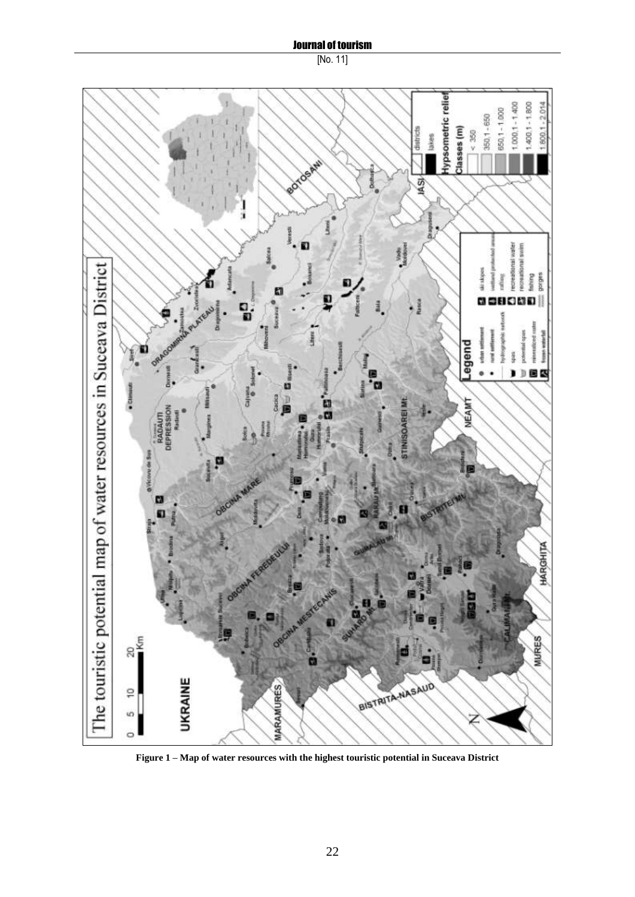## Journal of tourism

# [No. 11]



**Figure 1 – Map of water resources with the highest touristic potential in Suceava District**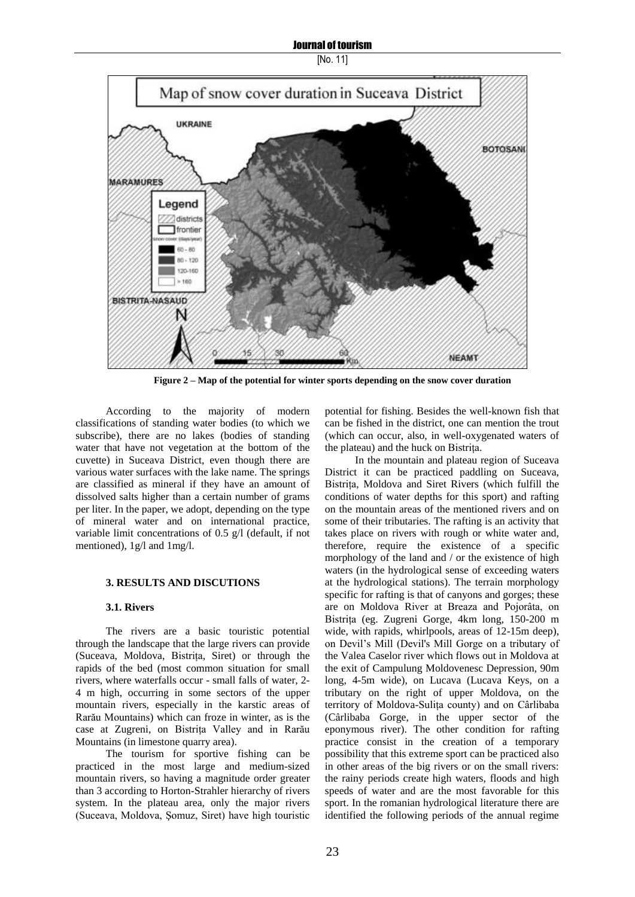Journal of tourism

[No. 11]



**Figure 2 – Map of the potential for winter sports depending on the snow cover duration**

According to the majority of modern classifications of standing water bodies (to which we subscribe), there are no lakes (bodies of standing water that have not vegetation at the bottom of the cuvette) in Suceava District, even though there are various water surfaces with the lake name. The springs are classified as mineral if they have an amount of dissolved salts higher than a certain number of grams per liter. In the paper, we adopt, depending on the type of mineral water and on international practice, variable limit concentrations of 0.5 g/l (default, if not mentioned), 1g/l and 1mg/l.

#### **3. RESULTS AND DISCUTIONS**

#### **3.1. Rivers**

The rivers are a basic touristic potential through the landscape that the large rivers can provide (Suceava, Moldova, Bistriţa, Siret) or through the rapids of the bed (most common situation for small rivers, where waterfalls occur - small falls of water, 2- 4 m high, occurring in some sectors of the upper mountain rivers, especially in the karstic areas of Rarău Mountains) which can froze in winter, as is the case at Zugreni, on Bistrita Valley and in Rarău Mountains (in limestone quarry area).

The tourism for sportive fishing can be practiced in the most large and medium-sized mountain rivers, so having a magnitude order greater than 3 according to Horton-Strahler hierarchy of rivers system. In the plateau area, only the major rivers (Suceava, Moldova, Şomuz, Siret) have high touristic

potential for fishing. Besides the well-known fish that can be fished in the district, one can mention the trout (which can occur, also, in well-oxygenated waters of the plateau) and the huck on Bistriţa.

In the mountain and plateau region of Suceava District it can be practiced paddling on Suceava, Bistrita, Moldova and Siret Rivers (which fulfill the conditions of water depths for this sport) and rafting on the mountain areas of the mentioned rivers and on some of their tributaries. The rafting is an activity that takes place on rivers with rough or white water and, therefore, require the existence of a specific morphology of the land and / or the existence of high waters (in the hydrological sense of exceeding waters at the hydrological stations). The terrain morphology specific for rafting is that of canyons and gorges; these are on Moldova River at Breaza and Pojorâta, on Bistriţa (eg. Zugreni Gorge, 4km long, 150-200 m wide, with rapids, whirlpools, areas of 12-15m deep), on Devil"s Mill (Devil's Mill Gorge on a tributary of the Valea Caselor river which flows out in Moldova at the exit of Campulung Moldovenesc Depression, 90m long, 4-5m wide), on Lucava (Lucava Keys, on a tributary on the right of upper Moldova, on the territory of Moldova-Suliţa county) and on Cârlibaba (Cârlibaba Gorge, in the upper sector of the eponymous river). The other condition for rafting practice consist in the creation of a temporary possibility that this extreme sport can be practiced also in other areas of the big rivers or on the small rivers: the rainy periods create high waters, floods and high speeds of water and are the most favorable for this sport. In the romanian hydrological literature there are identified the following periods of the annual regime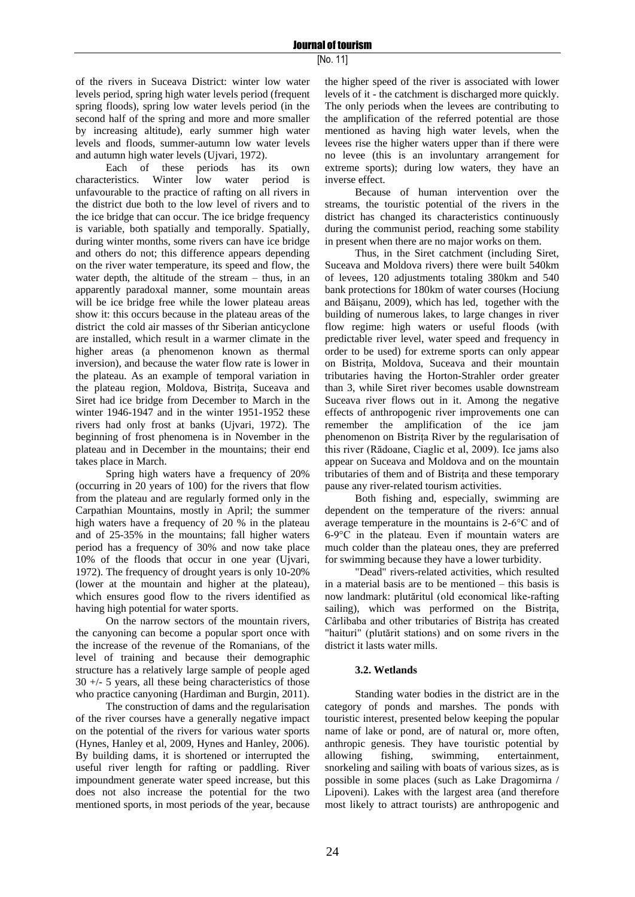of the rivers in Suceava District: winter low water levels period, spring high water levels period (frequent spring floods), spring low water levels period (in the second half of the spring and more and more smaller by increasing altitude), early summer high water levels and floods, summer-autumn low water levels and autumn high water levels (Ujvari, 1972).

Each of these periods has its own characteristics. Winter low water period is unfavourable to the practice of rafting on all rivers in the district due both to the low level of rivers and to the ice bridge that can occur. The ice bridge frequency is variable, both spatially and temporally. Spatially, during winter months, some rivers can have ice bridge and others do not; this difference appears depending on the river water temperature, its speed and flow, the water depth, the altitude of the stream – thus, in an apparently paradoxal manner, some mountain areas will be ice bridge free while the lower plateau areas show it: this occurs because in the plateau areas of the district the cold air masses of thr Siberian anticyclone are installed, which result in a warmer climate in the higher areas (a phenomenon known as thermal inversion), and because the water flow rate is lower in the plateau. As an example of temporal variation in the plateau region, Moldova, Bistriţa, Suceava and Siret had ice bridge from December to March in the winter 1946-1947 and in the winter 1951-1952 these rivers had only frost at banks (Ujvari, 1972). The beginning of frost phenomena is in November in the plateau and in December in the mountains; their end takes place in March.

Spring high waters have a frequency of 20% (occurring in 20 years of 100) for the rivers that flow from the plateau and are regularly formed only in the Carpathian Mountains, mostly in April; the summer high waters have a frequency of 20 % in the plateau and of 25-35% in the mountains; fall higher waters period has a frequency of 30% and now take place 10% of the floods that occur in one year (Ujvari, 1972). The frequency of drought years is only 10-20% (lower at the mountain and higher at the plateau), which ensures good flow to the rivers identified as having high potential for water sports.

On the narrow sectors of the mountain rivers, the canyoning can become a popular sport once with the increase of the revenue of the Romanians, of the level of training and because their demographic structure has a relatively large sample of people aged 30 +/- 5 years, all these being characteristics of those who practice canyoning (Hardiman and Burgin, 2011).

The construction of dams and the regularisation of the river courses have a generally negative impact on the potential of the rivers for various water sports (Hynes, Hanley et al, 2009, Hynes and Hanley, 2006). By building dams, it is shortened or interrupted the useful river length for rafting or paddling. River impoundment generate water speed increase, but this does not also increase the potential for the two mentioned sports, in most periods of the year, because

the higher speed of the river is associated with lower levels of it - the catchment is discharged more quickly. The only periods when the levees are contributing to the amplification of the referred potential are those mentioned as having high water levels, when the levees rise the higher waters upper than if there were no levee (this is an involuntary arrangement for extreme sports); during low waters, they have an inverse effect.

Because of human intervention over the streams, the touristic potential of the rivers in the district has changed its characteristics continuously during the communist period, reaching some stability in present when there are no major works on them.

Thus, in the Siret catchment (including Siret, Suceava and Moldova rivers) there were built 540km of levees, 120 adjustments totaling 380km and 540 bank protections for 180km of water courses (Hociung and Băişanu, 2009), which has led, together with the building of numerous lakes, to large changes in river flow regime: high waters or useful floods (with predictable river level, water speed and frequency in order to be used) for extreme sports can only appear on Bistriţa, Moldova, Suceava and their mountain tributaries having the Horton-Strahler order greater than 3, while Siret river becomes usable downstream Suceava river flows out in it. Among the negative effects of anthropogenic river improvements one can remember the amplification of the ice jam phenomenon on Bistriţa River by the regularisation of this river (Rădoane, Ciaglic et al, 2009). Ice jams also appear on Suceava and Moldova and on the mountain tributaries of them and of Bistriţa and these temporary pause any river-related tourism activities.

Both fishing and, especially, swimming are dependent on the temperature of the rivers: annual average temperature in the mountains is 2-6°C and of 6-9°C in the plateau. Even if mountain waters are much colder than the plateau ones, they are preferred for swimming because they have a lower turbidity.

"Dead" rivers-related activities, which resulted in a material basis are to be mentioned – this basis is now landmark: plutăritul (old economical like-rafting sailing), which was performed on the Bistrita, Cârlibaba and other tributaries of Bistriţa has created "haituri" (plutărit stations) and on some rivers in the district it lasts water mills.

## **3.2. Wetlands**

Standing water bodies in the district are in the category of ponds and marshes. The ponds with touristic interest, presented below keeping the popular name of lake or pond, are of natural or, more often, anthropic genesis. They have touristic potential by allowing fishing, swimming, entertainment, snorkeling and sailing with boats of various sizes, as is possible in some places (such as Lake Dragomirna / Lipoveni). Lakes with the largest area (and therefore most likely to attract tourists) are anthropogenic and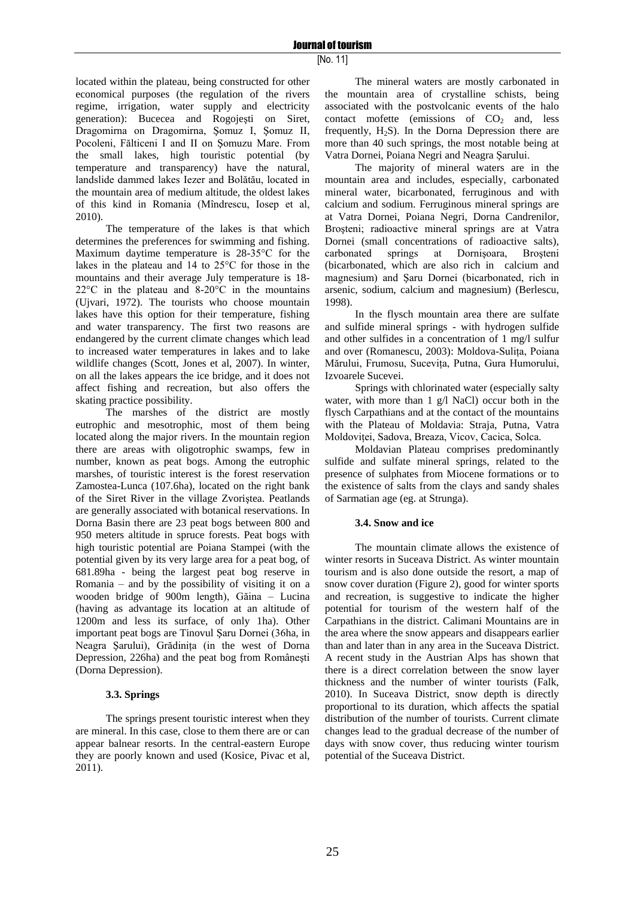located within the plateau, being constructed for other economical purposes (the regulation of the rivers regime, irrigation, water supply and electricity generation): Bucecea and Rogojeşti on Siret, Dragomirna on Dragomirna, Şomuz I, Şomuz II, Pocoleni, Fălticeni I and II on Şomuzu Mare. From the small lakes, high touristic potential (by temperature and transparency) have the natural, landslide dammed lakes Iezer and Bolătău, located in the mountain area of medium altitude, the oldest lakes of this kind in Romania (Mîndrescu, Iosep et al, 2010).

The temperature of the lakes is that which determines the preferences for swimming and fishing. Maximum daytime temperature is 28-35°C for the lakes in the plateau and 14 to 25°C for those in the mountains and their average July temperature is 18- 22°C in the plateau and 8-20°C in the mountains (Ujvari, 1972). The tourists who choose mountain lakes have this option for their temperature, fishing and water transparency. The first two reasons are endangered by the current climate changes which lead to increased water temperatures in lakes and to lake wildlife changes (Scott, Jones et al, 2007). In winter, on all the lakes appears the ice bridge, and it does not affect fishing and recreation, but also offers the skating practice possibility.

The marshes of the district are mostly eutrophic and mesotrophic, most of them being located along the major rivers. In the mountain region there are areas with oligotrophic swamps, few in number, known as peat bogs. Among the eutrophic marshes, of touristic interest is the forest reservation Zamostea-Lunca (107.6ha), located on the right bank of the Siret River in the village Zvoriştea. Peatlands are generally associated with botanical reservations. In Dorna Basin there are 23 peat bogs between 800 and 950 meters altitude in spruce forests. Peat bogs with high touristic potential are Poiana Stampei (with the potential given by its very large area for a peat bog, of 681.89ha - being the largest peat bog reserve in Romania – and by the possibility of visiting it on a wooden bridge of 900m length), Găina – Lucina (having as advantage its location at an altitude of 1200m and less its surface, of only 1ha). Other important peat bogs are Tinovul Şaru Dornei (36ha, in Neagra Şarului), Grădiniţa (in the west of Dorna Depression, 226ha) and the peat bog from Româneşti (Dorna Depression).

## **3.3. Springs**

The springs present touristic interest when they are mineral. In this case, close to them there are or can appear balnear resorts. In the central-eastern Europe they are poorly known and used (Kosice, Pivac et al, 2011).

The mineral waters are mostly carbonated in the mountain area of crystalline schists, being associated with the postvolcanic events of the halo contact mofette (emissions of  $CO<sub>2</sub>$  and, less frequently,  $H_2S$ ). In the Dorna Depression there are more than 40 such springs, the most notable being at Vatra Dornei, Poiana Negri and Neagra Şarului.

The majority of mineral waters are in the mountain area and includes, especially, carbonated mineral water, bicarbonated, ferruginous and with calcium and sodium. Ferruginous mineral springs are at Vatra Dornei, Poiana Negri, Dorna Candrenilor, Brosteni; radioactive mineral springs are at Vatra Dornei (small concentrations of radioactive salts), carbonated springs at Dornişoara, Broşteni (bicarbonated, which are also rich in calcium and magnesium) and Şaru Dornei (bicarbonated, rich in arsenic, sodium, calcium and magnesium) (Berlescu, 1998).

In the flysch mountain area there are sulfate and sulfide mineral springs - with hydrogen sulfide and other sulfides in a concentration of 1 mg/l sulfur and over (Romanescu, 2003): Moldova-Suliţa, Poiana Mărului, Frumosu, Suceviţa, Putna, Gura Humorului, Izvoarele Sucevei.

Springs with chlorinated water (especially salty water, with more than 1 g/l NaCl) occur both in the flysch Carpathians and at the contact of the mountains with the Plateau of Moldavia: Straja, Putna, Vatra Moldoviţei, Sadova, Breaza, Vicov, Cacica, Solca.

Moldavian Plateau comprises predominantly sulfide and sulfate mineral springs, related to the presence of sulphates from Miocene formations or to the existence of salts from the clays and sandy shales of Sarmatian age (eg. at Strunga).

## **3.4. Snow and ice**

The mountain climate allows the existence of winter resorts in Suceava District. As winter mountain tourism and is also done outside the resort, a map of snow cover duration (Figure 2), good for winter sports and recreation, is suggestive to indicate the higher potential for tourism of the western half of the Carpathians in the district. Calimani Mountains are in the area where the snow appears and disappears earlier than and later than in any area in the Suceava District. A recent study in the Austrian Alps has shown that there is a direct correlation between the snow layer thickness and the number of winter tourists (Falk, 2010). In Suceava District, snow depth is directly proportional to its duration, which affects the spatial distribution of the number of tourists. Current climate changes lead to the gradual decrease of the number of days with snow cover, thus reducing winter tourism potential of the Suceava District.